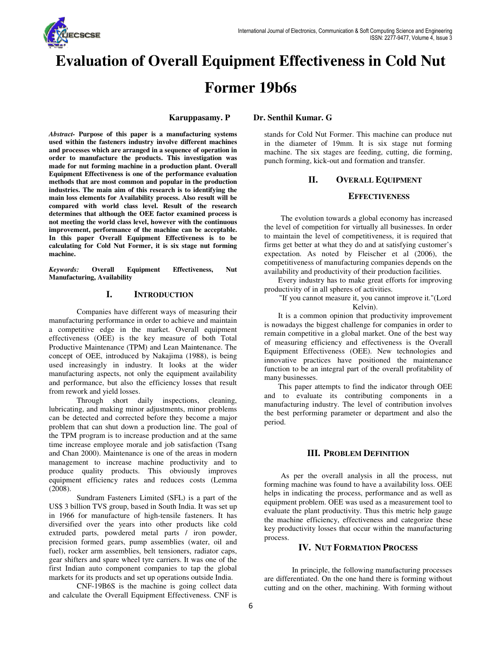

# **Evaluation of Overall Equipment Effectiveness in Cold Nut Former 19b6s**

**Dr. Senthil Kumar. G** 

**Karuppasamy. P**

*Abstract-* **Purpose of this paper is a manufacturing systems used within the fasteners industry involve different machines and processes which are arranged in a sequence of operation in order to manufacture the products. This investigation was made for nut forming machine in a production plant. Overall Equipment Effectiveness is one of the performance evaluation methods that are most common and popular in the production industries. The main aim of this research is to identifying the main loss elements for Availability process. Also result will be compared with world class level. Result of the research determines that although the OEE factor examined process is not meeting the world class level, however with the continuous improvement, performance of the machine can be acceptable. In this paper Overall Equipment Effectiveness is to be calculating for Cold Nut Former, it is six stage nut forming machine.**  Abstract- Purpose of this paper is a manufacturing<br>used within the fasteners industry involve different n<br>and processes which are arranged in a sequence of ope<br>order to manufacture the products. This investigat<br>made for nu

*Keywords:* **Overall Equipment Effectiveness, Nut Manufacturing, Availability** 

### **I. INTRODUCTION**

Companies have different ways of measuring their manufacturing performance in order to achieve and maintain a competitive edge in the market. Overall equipment effectiveness (OEE) is the key measure of both Total Productive Maintenance (TPM) and Lean Maintenance. The concept of OEE, introduced by Nakajima (1988), is being used increasingly in industry. It looks at the wider manufacturing aspects, not only the equipment availability and performance, but also the efficiency losses that result from rework and yield losses.

Through short daily inspections, cleaning, lubricating, and making minor adjustments, minor problems can be detected and corrected before they become a major problem that can shut down a production line. The goal of the TPM program is to increase production and at the same time increase employee morale and job satisfaction (Tsang and Chan 2000). Maintenance is one of the areas in modern management to increase machine productivity and to produce quality products. This obviously improves equipment efficiency rates and reduces costs (Lemma (2008). Companies have different ways of measuring their<br>a competitive edge in the market. Overall equipment<br>feffectiveness (OEE) is the key measure of both Total<br>Productive Maintenance (TPM) and Lean Maintenance. The<br>concept of O

Sundram Fasteners Limited (SFL) is a part of the US\$ 3 billion TVS group, based in South India. It was set up in 1966 for manufacture of high-tensile fasteners. It has diversified over the years into other products like cold extruded parts, powdered metal parts / iron powder, precision formed gears, pump assemblies (water, oil and fuel), rocker arm assemblies, belt tensioners, radiator caps, gear shifters and spare wheel tyre carriers. It was one of the first Indian auto component companies to tap the global markets for its products and set up operations outside India. ified over the years into other products like cold<br>ed parts, powdered metal parts / iron powder,<br>ion formed gears, pump assemblies (water, oil and<br>rocker arm assemblies, belt tensioners, radiator caps,<br>hifters and spare wh

CNF-19B6S is the machine is going collect data and calculate the Overall Equipment Effectiveness. CNF is

stands for Cold Nut Former. This machine can produce nut in the diameter of 19mm. It is six stage nut forming machine. The six stages are feeding, cutting, die forming, machine. The six stages are feeding, cutting, die punch forming, kick-out and formation and transfer.

# **II. OVERALL EQUIPMENT**

### **EFFECTIVENESS FFECTIVENESS**

The evolution towards a global economy has increased the level of competition for virtually all businesses. In order to maintain the level of competitiveness, it is required that firms get better at what they do and at satisfying customer's expectation. As noted by Fleischer et al (2006), the competitiveness of manufacturing companies depends on the availability and productivity of their production facilities. The evolution towards a global economy has increased<br>the level of competition for virtually all businesses. In order<br>to maintain the level of competitiveness, it is required that<br>firms get better at what they do and at sat

Every industry has to make great efforts for improving productivity of in all spheres of activities.

"If you cannot measure it, you cannot improve it."(Lord Kelvin).

It is a common opinion that productivity improvement is nowadays the biggest challenge for companies in order to remain competitive in a global market. One of the best way of measuring efficiency and effectiveness is the Overall Equipment Effectiveness (OEE). New technologies and innovative practices have positioned the maintenance function to be an integral part of the overall profitability of many businesses. tion to be an integral part of the overall profitability of<br>y businesses.<br>This paper attempts to find the indicator through OEE

and to evaluate its contributing components in a manufacturing industry. The level of contribution involves the best performing parameter or department and also the period. evaluate its contributing components in a<br>ring industry. The level of contribution involves<br>erforming parameter or department and also the<br>**III. PROBLEM DEFINITION**<br>per the overall analysis in all the process, nut<br>achine w

### **III. PROBLEM DEFINITION**

As per the overall analysis in all the process, nut forming machine was found to have a availability loss. helps in indicating the process, performance and as well as equipment problem. OEE was used as a measurement tool to helps in indicating the process, performance and as well as equipment problem. OEE was used as a measurement tool to evaluate the plant productivity. Thus this metric help gauge the machine efficiency, effectiveness and categorize these key productivity losses that occur within the manufacturing process.

# **IV. NUT FORMATION PROCESS**

In principle, the following manufacturing processes are differentiated. On the one hand there is forming without cutting and on the other, machining. With forming without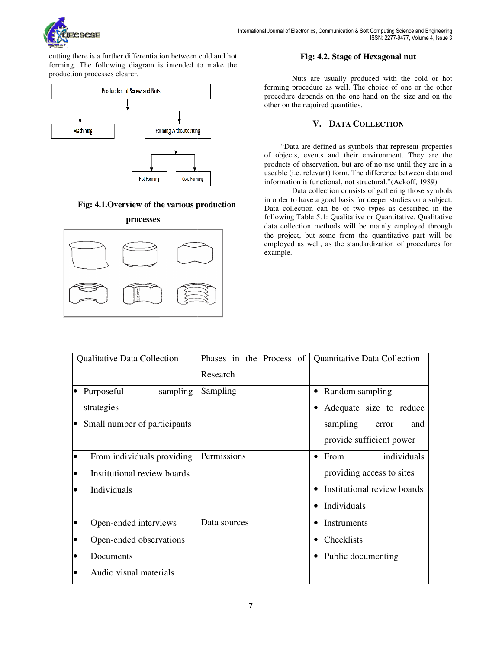

cutting there is a further differentiation between cold and hot cutting there is a further differentiation between cold and hot **Fig: 4.2. Stage of Hexagonal nut** forming. The following diagram is intended to make the production processes clearer.



# **Fig: 4.1.Overview of the various production**



### Fig: 4.2. Stage of Hexagonal nut

Nuts are usually produced with the cold or hot forming procedure as well. The choice of one or the other procedure depends on the one hand on the size and on the other on the required quantities.

# **V. DATA COLLECTION**

"Data are defined as symbols that represent properties of objects, events and their environment. They are the products of observation, but are of no use until they are in a useable (i.e. relevant) form. The difference between data and information is functional, not structural."(Ackoff, 1989)

Data collection consists of gathering those symbols in order to have a good basis for deeper studies on a subject. Data collection can be of two types as described in the following Table 5.1: Qualitative or Quantitative. Qualitative data collection methods will be mainly employed through the project, but some from the quantitative part will be employed as well, as the standardization of procedures for example. procedure depends on the one hand on<br>other on the required quantities.<br>V. DATA COLLECT<br>"Data are defined as symbols that<br>of objects, events and their environn<br>products of observation, but are of no us<br>useable (i.e. relevan

| <b>Qualitative Data Collection</b> |                              |              | Phases in the Process of   Quantitative Data Collection |
|------------------------------------|------------------------------|--------------|---------------------------------------------------------|
|                                    |                              | Research     |                                                         |
| $\bullet$                          | Purposeful<br>sampling       | Sampling     | Random sampling<br>$\bullet$                            |
|                                    | strategies                   |              | Adequate size to reduce                                 |
| le.                                | Small number of participants |              | sampling<br>and<br>error                                |
|                                    |                              |              | provide sufficient power                                |
| lo                                 | From individuals providing   | Permissions  | individuals<br>From<br>$\bullet$                        |
| $\bullet$                          | Institutional review boards  |              | providing access to sites                               |
| $\bullet$                          | Individuals                  |              | Institutional review boards                             |
|                                    |                              |              | Individuals                                             |
| lo                                 | Open-ended interviews        | Data sources | Instruments                                             |
| lo                                 | Open-ended observations      |              | Checklists                                              |
| $\bullet$                          | Documents                    |              | Public documenting                                      |
| $\bullet$                          | Audio visual materials       |              |                                                         |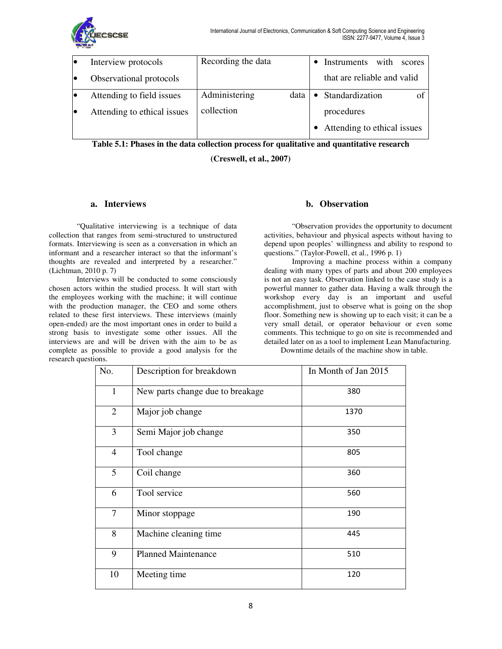

| le | Interview protocols         | Recording the data |        | • Instruments with scores     |
|----|-----------------------------|--------------------|--------|-------------------------------|
| le | Observational protocols     |                    |        | that are reliable and valid   |
| lo | Attending to field issues   | Administering      | data l | • Standardization             |
| lo | Attending to ethical issues | collection         |        | procedures                    |
|    |                             |                    |        | • Attending to ethical issues |

**Table 5.1: Phases in the data collection process for qualitative and quantitative research the and** 

**(Creswell, et al., 2007)** 

# **a. Interviews**

"Qualitative interviewing is a technique of data collection that ranges from semi-structured to unstructured formats. Interviewing is seen as a conversation in which an informant and a researcher interact so that the informant's thoughts are revealed and interpreted by a researcher." (Lichtman, 2010 p. 7)

Interviews will be conducted to some consciously chosen actors within the studied process. It will start with the employees working with the machine; it will continue with the production manager, the CEO and some others related to these first interviews. These interviews (mainly open-ended) are the most important ones in order to build a strong basis to investigate some other issues. All the interviews are and will be driven with the aim to be as complete as possible to provide a good analysis for the research questions. **structure interviews**<br> **structured** collection that ranges from semi-structured to unstructured<br>
formats. Interviewing is seen as a conversation in which an<br>
informant and a researcher interact so that the informant's que

"Observation provides the opportunity to document activities, behaviour and physical aspects without having to depend upon peoples' willingness and ability to respond to questions." (Taylor-Powell, et al., 1996 p. 1) can physical aspects without having to<br>s' willingness and ability to respond to<br>Powell, et al., 1996 p. 1)<br>a machine process within a company

Improving a machine process within a company dealing with many types of parts and about 200 employees is not an easy task. Observation linked to the case study is a powerful manner to gather data. Having a walk through the workshop every day is an important and useful accomplishment, just to observe what is going on the shop floor. Something new is showing up to each visit; it can be a very small detail, or operator behaviour or even some comments. This technique to go on site is recommended and detailed later on as a tool to implement Lean Manufacturing. dealing with many types of parts and about 200 employees<br>is not an easy task. Observation linked to the case study is a<br>powerful manner to gather data. Having a walk through the<br>workshop every day is an important and usefu

Downtime details of the machine show in table.

| No.            | Description for breakdown        | In Month of Jan 2015 |
|----------------|----------------------------------|----------------------|
| $\mathbf{1}$   | New parts change due to breakage | 380                  |
| $\overline{2}$ | Major job change                 | 1370                 |
| 3              | Semi Major job change            | 350                  |
| $\overline{4}$ | Tool change                      | 805                  |
| 5              | Coil change                      | 360                  |
| 6              | Tool service                     | 560                  |
| 7              | Minor stoppage                   | 190                  |
| 8              | Machine cleaning time            | 445                  |
| 9              | <b>Planned Maintenance</b>       | 510                  |
| 10             | Meeting time                     | 120                  |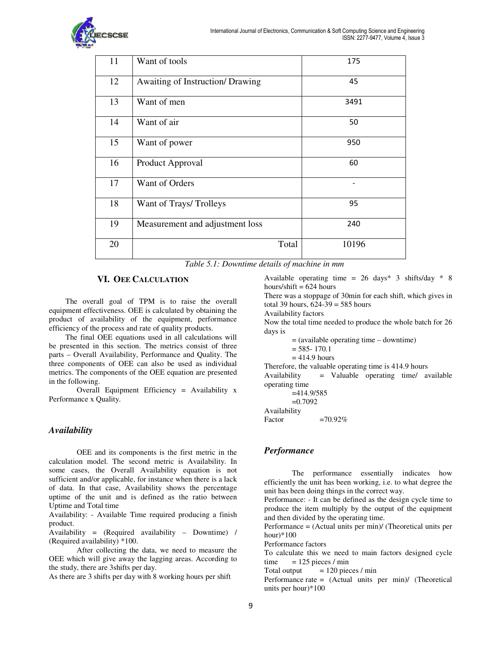

| 11 | Want of tools                    | 175   |
|----|----------------------------------|-------|
| 12 | Awaiting of Instruction/ Drawing | 45    |
| 13 | Want of men                      | 3491  |
| 14 | Want of air                      | 50    |
| 15 | Want of power                    | 950   |
| 16 | Product Approval                 | 60    |
| 17 | Want of Orders                   |       |
| 18 | Want of Trays/Trolleys           | 95    |
| 19 | Measurement and adjustment loss  | 240   |
| 20 | Total                            | 10196 |

*Table 5.1: Downtime details of machine in mm*

# **VI. OEE CALCULATION**

The overall goal of TPM is to raise the overall equipment effectiveness. OEE is calculated by obtaining the product of availability of the equipment, performance efficiency of the process and rate of quality products.

The final OEE equations used in all calculations will be presented in this section. The metrics consist of three parts – Overall Availability, Performance and Quality. The three components of OEE can also be used as individual metrics. The components of the OEE equation are presented in the following.

Overall Equipment Efficiency = Availability x Performance x Quality.

### *Availability*

OEE and its components is the first metric in the calculation model. The second metric is Availability. In some cases, the Overall Availability equation is not sufficient and/or applicable, for instance when there is a lack of data. In that case, Availability shows the percentage uptime of the unit and is defined as the ratio between Uptime and Total time ment effectiveness. OEE is calculated by obtaining the<br>energy of the process and rate of quality products.<br>The final OEE equations used in all calculations will<br>sesented in this section. The metrics consist of three<br>- Over

Availability: - Available Time required producing a finish product.

Availability = (Required availability – Downtime) / (Required availability) \*100.

After collecting the data, we need to measure the OEE which will give away the lagging areas. According to the study, there are 3shifts per day.

As there are 3 shifts per day with 8 working hours per shift

Available operating time =  $26 \text{ days}^*$  3 shifts/day  $*$  8 hours/shift  $= 624$  hours

There was a stoppage of 30min for each shift, which gives in total 39 hours,  $624-39 = 585$  hours  $ne = 26 \text{ days} * 3 \text{ shifts/day} * 8$ <br>30min for each shift, which gives in<br>585 hours<br>d to produce the whole batch for 26

Availability factors

Now the total time needed to produce the whole batch for 26 days is

= (available operating time – downtime)

- $= 585 170.1$
- $= 414.9$  hours

Therefore, the valuable operating time is 414.9 hours Availability = Valuable operating time/ available operating time

```
=414.9/585 
      =0.7092Availability 
Factor =70.92\%
```
# *Performance*

The performance essentially indicates how efficiently the unit has been working, i.e. to what degree the unit has been doing things in the correct way.

Performance: - It can be defined as the design cycle time to produce the item multiply by the output of the equipment and then divided by the operating time. t has been working, i.e. to<br>g things in the correct way<br>can be defined as the desig<br>multiply by the output of<br>by the operating time.<br>ctual units per min)/ (Theor<br>ors<br>we need to main factors<br>cces / min<br>= 120 pieces / min

Performance = (Actual units per min)/ (Theoretical units per hour)\*100

Performance factors

To calculate this we need to main factors designed cycle time  $= 125$  pieces / min

Total output  $= 120$  pieces / min

Performance rate = (Actual units per min)/ (Theoretical units per hour)\*100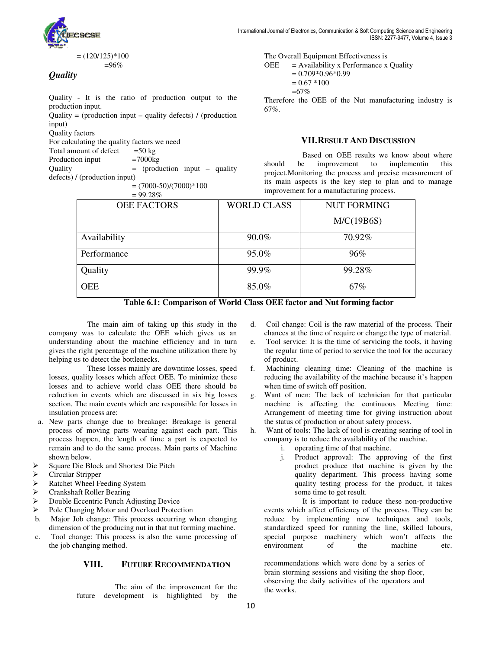

*Quality*

# Quality - It is the ratio of production output to the production input. Quality - It is the ratio of production output to the production input.<br>Quality = (production input – quality defects) / (production

input) Quality factors

For calculating the quality factors we need

Total amount of defect  $=50 \text{ kg}$ <br>Production input  $=7000 \text{ kg}$ Production input

Quality = (production input – quality

defects) / (production input)

 $=(7000-50)/(7000)*100$ 

 $= 99.28%$ 

The Overall Equipment Effectiveness is<br>
OEE = Availability x Performance x<br>
= 0.709\*0.96\*0.99<br>
= 0.67 \*100<br>
=67%<br>
Oduction output to the<br>
Therefore the OEE of the Nut manuf<br>
ity defects) / (production<br>
67%.<br> **VII.RESULT A**  $OEE =$  Availability x Performance x Quality  $= 0.709*0.96*0.99$  $= 0.67 *100$ =67% The Overall Equipment Effectiveness is<br>  $\text{OEE}$  = Availability x Performance x Quality<br>
= 0.709\*0.96\*0.99<br>
= 0.67 \*100<br>
=67%<br>
Therefore the OEE of the Nut manufacturing industry is

67%.

# **VII.RESULT AND D ISCUSSION**

Based on OEE results we know about where should be improvement to implementin this project.Monitoring the process and precise measurement of its main aspects is the key step to plan and to manage improvement for a manufacturing process. improvement to<br>ig the process and<br>is the key step<br>a manufacturing pr

| ------             |                    |                    |
|--------------------|--------------------|--------------------|
| <b>OEE FACTORS</b> | <b>WORLD CLASS</b> | <b>NUT FORMING</b> |
|                    |                    | M/C(19B6S)         |
| Availability       | 90.0%              | 70.92%             |
| Performance        | 95.0%              | 96%                |
| Quality            | 99.9%              | 99.28%             |
| <b>OEE</b>         | 85.0%              | 67%                |

Table 6.1: Comparison of World Class OEE factor and Nut forming factor

The main aim of taking up this study in the company was to calculate the OEE which gives us an understanding about the machine efficiency and in turn gives the right percentage of the machine utilization there by helping us to detect the bottlenecks.

These losses mainly are downtime losses, speed losses, quality losses which affect OEE. To minimize these losses and to achieve world class OEE there should be reduction in events which are discussed in six big losses section. The main events which are responsible for losses in insulation process are: The main am of taking up this study in the coil change: Coil is the raw material of the process. The study in the process are the process are the process of the random the process of the random the process of the events th

- a. New parts change due to breakage: Breakage is general process of moving parts wearing against each part. This process happen, the length of time a part is expected to remain and to do the same process. Main parts of Machine shown below.
- Square Die Block and Shortest Die Pitch
- $\geq$  Circular Stripper<br> $\geq$  Ratchet Wheel Fe
- $\triangleright$  Ratchet Wheel Feeding System<br>  $\triangleright$  Crankshaft Roller Bearing
- $\triangleright$  Crankshaft Roller Bearing<br> $\triangleright$  Double Eccentric Punch A
- Double Eccentric Punch Adjusting Device
- Pole Changing Motor and Overload Protection
- b. Major Job change: This process occurring when changing dimension of the producing nut in that nut forming machine.
- c. Tool change: This process is also the same processing of the job changing method.

### **VIII. FUTURE RECOMMENDATION**

The aim of the improvement for the future development is highlighted by the

- chances at the time of require or change the type of material. Coil change: Coil is the raw material of the process. Their
- e. Tool service: It is the time of servicing the tools, it having the regular time of period to service the tool for the accuracy of product. chances at the time of require or change the type of material.<br>
e. Tool service: It is the time of servicing the tools, it having<br>
the regular time of period to service the tool for the accuracy<br>
of product.<br>
f. Machining
- reducing the availability of the machine because it's happen when time of switch off position.
- g. Want of men: The lack of technician for that particular machine is affecting the continuous Meeting time: Arrangement of meeting time for giving instruction about the status of production or about safety process. reducing the availability of the machine because it's happen<br>when time of switch off position.<br>Want of men: The lack of technician for that particular<br>machine is affecting the continuous Meeting time:
- h. Want of tools: The lack of tool is creating searing of tool in company is to reduce the availability of the machine.
	- i. operating time of that machine.
	- j. Product approval: The approving of the first product produce that machine is given by the quality department. This process having some quality testing process for the product, it takes some time to get result. duct produce that machine is given by the<br>lity department. This process having some<br>lity testing process for the product, it takes<br>ne time to get result.<br>t is important to reduce these non-productive

It is important to reduce these non-productive events which affect efficiency of the process. They can be reduce by implementing new techniques and tools, standardized speed for running the line, skilled labours, special purpose machinery which won't affects the environment of the machine etc. events which affect efficiency of the<br>reduce by implementing new te<br>standardized speed for running the<br>special purpose machinery which<br>environment of the<br>recommendations which were done b

EXECOMMENDATION recommendations which were done by a series of brain storming sessions and visiting the shop floor, observing the daily activities of the operators and the works brain storming sessions and visiting the shop floor, the works.